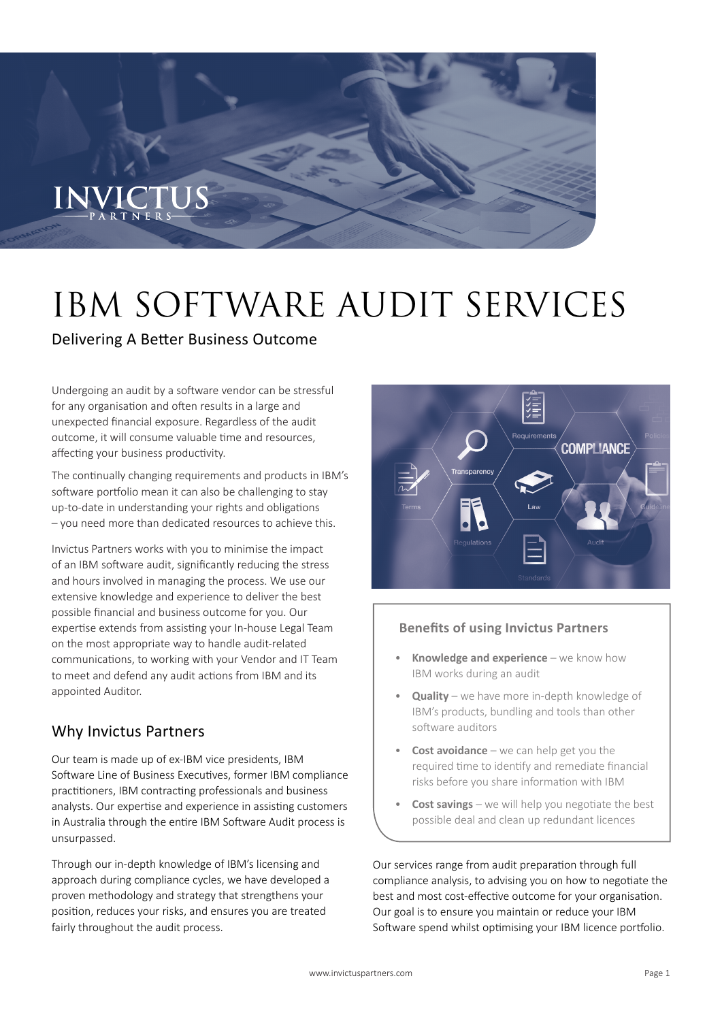# IBM SOFTWARE AUDIT SERVICES

### Delivering A Better Business Outcome

Undergoing an audit by a software vendor can be stressful for any organisation and often results in a large and unexpected financial exposure. Regardless of the audit outcome, it will consume valuable time and resources, affecting your business productivity.

The continually changing requirements and products in IBM's software portfolio mean it can also be challenging to stay up-to-date in understanding your rights and obligations – you need more than dedicated resources to achieve this.

Invictus Partners works with you to minimise the impact of an IBM software audit, significantly reducing the stress and hours involved in managing the process. We use our extensive knowledge and experience to deliver the best possible financial and business outcome for you. Our expertise extends from assisting your In-house Legal Team on the most appropriate way to handle audit-related communications, to working with your Vendor and IT Team to meet and defend any audit actions from IBM and its appointed Auditor.

## Why Invictus Partners

Our team is made up of ex-IBM vice presidents, IBM Software Line of Business Executives, former IBM compliance practitioners, IBM contracting professionals and business analysts. Our expertise and experience in assisting customers in Australia through the entire IBM Software Audit process is unsurpassed.

Through our in-depth knowledge of IBM's licensing and approach during compliance cycles, we have developed a proven methodology and strategy that strengthens your position, reduces your risks, and ensures you are treated fairly throughout the audit process.



#### **Benefits of using Invictus Partners**

- **Knowledge and experience** we know how IBM works during an audit
- **Quality** we have more in-depth knowledge of IBM's products, bundling and tools than other software auditors
- **Cost avoidance** we can help get you the required time to identify and remediate financial risks before you share information with IBM
- **Cost savings** we will help you negotiate the best possible deal and clean up redundant licences

Our services range from audit preparation through full compliance analysis, to advising you on how to negotiate the best and most cost-effective outcome for your organisation. Our goal is to ensure you maintain or reduce your IBM Software spend whilst optimising your IBM licence portfolio.